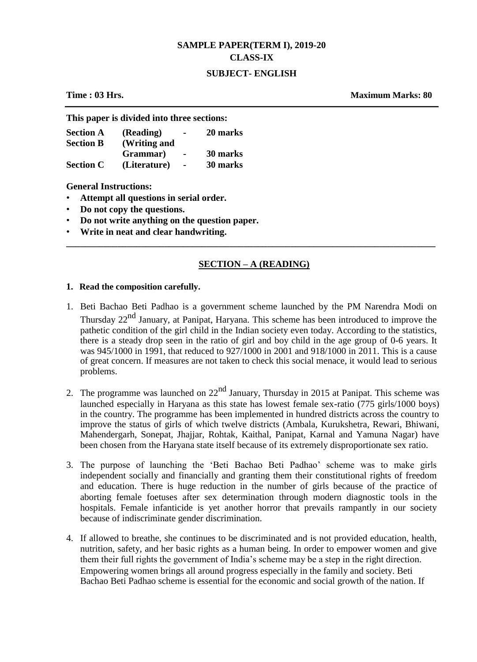# **SAMPLE PAPER(TERM I), 2019-20 CLASS-IX**

#### **SUBJECT- ENGLISH**

**Time : 03 Hrs. Maximum Marks: 80**

**This paper is divided into three sections:**

| <b>Section A</b> | (Reading)    | $\blacksquare$ | 20 marks |
|------------------|--------------|----------------|----------|
| <b>Section B</b> | (Writing and |                |          |
|                  | Grammar)     | $\blacksquare$ | 30 marks |
| <b>Section C</b> | (Literature) | $\blacksquare$ | 30 marks |

**General Instructions:**

- **Attempt all questions in serial order.**
- **Do not copy the questions.**
- **Do not write anything on the question paper.**
- **Write in neat and clear handwriting.**

# **SECTION – A (READING)**

**\_\_\_\_\_\_\_\_\_\_\_\_\_\_\_\_\_\_\_\_\_\_\_\_\_\_\_\_\_\_\_\_\_\_\_\_\_\_\_\_\_\_\_\_\_\_\_\_\_\_\_\_\_\_\_\_\_\_\_\_\_\_\_\_\_\_\_\_\_\_\_\_\_\_\_\_\_\_\_**

#### **1. Read the composition carefully.**

- 1. Beti Bachao Beti Padhao is a government scheme launched by the PM Narendra Modi on Thursday 22<sup>nd</sup> January, at Panipat, Haryana. This scheme has been introduced to improve the pathetic condition of the girl child in the Indian society even today. According to the statistics, there is a steady drop seen in the ratio of girl and boy child in the age group of 0-6 years. It was 945/1000 in 1991, that reduced to 927/1000 in 2001 and 918/1000 in 2011. This is a cause of great concern. If measures are not taken to check this social menace, it would lead to serious problems.
- 2. The programme was launched on  $22^{nd}$  January, Thursday in 2015 at Panipat. This scheme was launched especially in Haryana as this state has lowest female sex-ratio (775 girls/1000 boys) in the country. The programme has been implemented in hundred districts across the country to improve the status of girls of which twelve districts (Ambala, Kurukshetra, Rewari, Bhiwani, Mahendergarh, Sonepat, Jhajjar, Rohtak, Kaithal, Panipat, Karnal and Yamuna Nagar) have been chosen from the Haryana state itself because of its extremely disproportionate sex ratio.
- 3. The purpose of launching the 'Beti Bachao Beti Padhao' scheme was to make girls independent socially and financially and granting them their constitutional rights of freedom and education. There is huge reduction in the number of girls because of the practice of aborting female foetuses after sex determination through modern diagnostic tools in the hospitals. Female infanticide is yet another horror that prevails rampantly in our society because of indiscriminate gender discrimination.
- 4. If allowed to breathe, she continues to be discriminated and is not provided education, health, nutrition, safety, and her basic rights as a human being. In order to empower women and give them their full rights the government of India's scheme may be a step in the right direction. Empowering women brings all around progress especially in the family and society. Beti Bachao Beti Padhao scheme is essential for the economic and social growth of the nation. If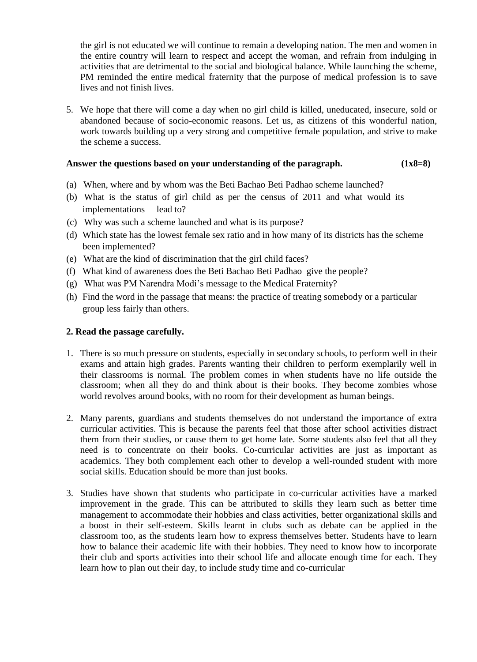the girl is not educated we will continue to remain a developing nation. The men and women in the entire country will learn to respect and accept the woman, and refrain from indulging in activities that are detrimental to the social and biological balance. While launching the scheme, PM reminded the entire medical fraternity that the purpose of medical profession is to save lives and not finish lives.

5. We hope that there will come a day when no girl child is killed, uneducated, insecure, sold or abandoned because of socio-economic reasons. Let us, as citizens of this wonderful nation, work towards building up a very strong and competitive female population, and strive to make the scheme a success.

# **Answer the questions based on your understanding of the paragraph. (1x8=8)**

- (a) When, where and by whom was the Beti Bachao Beti Padhao scheme launched?
- (b) What is the status of girl child as per the census of 2011 and what would its implementations lead to?
- (c) Why was such a scheme launched and what is its purpose?
- (d) Which state has the lowest female sex ratio and in how many of its districts has the scheme been implemented?
- (e) What are the kind of discrimination that the girl child faces?
- (f) What kind of awareness does the Beti Bachao Beti Padhao give the people?
- (g) What was PM Narendra Modi's message to the Medical Fraternity?
- (h) Find the word in the passage that means: the practice of treating somebody or a particular group less fairly than others.

# **2. Read the passage carefully.**

- 1. There is so much pressure on students, especially in secondary schools, to perform well in their exams and attain high grades. Parents wanting their children to perform exemplarily well in their classrooms is normal. The problem comes in when students have no life outside the classroom; when all they do and think about is their books. They become zombies whose world revolves around books, with no room for their development as human beings.
- 2. Many parents, guardians and students themselves do not understand the importance of extra curricular activities. This is because the parents feel that those after school activities distract them from their studies, or cause them to get home late. Some students also feel that all they need is to concentrate on their books. Co-curricular activities are just as important as academics. They both complement each other to develop a well-rounded student with more social skills. Education should be more than just books.
- 3. Studies have shown that students who participate in co-curricular activities have a marked improvement in the grade. This can be attributed to skills they learn such as better time management to accommodate their hobbies and class activities, better organizational skills and a boost in their self-esteem. Skills learnt in clubs such as debate can be applied in the classroom too, as the students learn how to express themselves better. Students have to learn how to balance their academic life with their hobbies. They need to know how to incorporate their club and sports activities into their school life and allocate enough time for each. They learn how to plan out their day, to include study time and co-curricular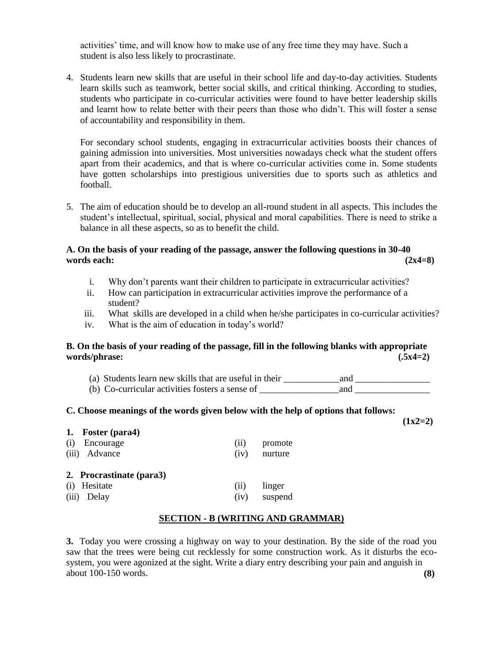activities' time, and will know how to make use of any free time they may have. Such a student is also less likely to procrastinate.

4. Students learn new skills that are useful in their school life and day-to-day activities. Students learn skills such as teamwork, better social skills, and critical thinking. According to studies, students who participate in co-curricular activities were found to have better leadership skills and learnt how to relate better with their peers than those who didn't. This will foster a sense of accountability and responsibility in them.

For secondary school students, engaging in extracurricular activities boosts their chances of gaining admission into universities. Most universities nowadays check what the student offers apart from their academics, and that is where co-curricular activities come in. Some students have gotten scholarships into prestigious universities due to sports such as athletics and football.

5. The aim of education should be to develop an all-round student in all aspects. This includes the student's intellectual, spiritual, social, physical and moral capabilities. There is need to strike a balance in all these aspects, so as to benefit the child.

# **A. On the basis of your reading of the passage, answer the following questions in 30-40 words each: (2x4=8)**

- i. Why don't parents want their children to participate in extracurricular activities?
- ii. How can participation in extracurricular activities improve the performance of a student?
- iii. What skills are developed in a child when he/she participates in co-curricular activities?
- iv. What is the aim of education in today's world?

#### **B. On the basis of your reading of the passage, fill in the following blanks with appropriate words/phrase: (.5x4=2)**

| (a) Students learn new skills that are useful in their | and |  |
|--------------------------------------------------------|-----|--|
| (b) Co-curricular activities fosters a sense of        | and |  |

#### **C. Choose meanings of the words given below with the help of options that follows:**

**(1x2=2)**

| 1. Foster (para4)        |      |         |
|--------------------------|------|---------|
| (i)<br>Encourage         | (11) | promote |
| (iii) Advance            | (iv) | nurture |
| 2. Procrastinate (para3) |      |         |
| (i) Hesitate             | (11) | linger  |
| (iii) Delay              | (iv) | suspend |

#### **SECTION - B (WRITING AND GRAMMAR)**

**3.** Today you were crossing a highway on way to your destination. By the side of the road you saw that the trees were being cut recklessly for some construction work. As it disturbs the ecosystem, you were agonized at the sight. Write a diary entry describing your pain and anguish in about 100-150 words. **(8)**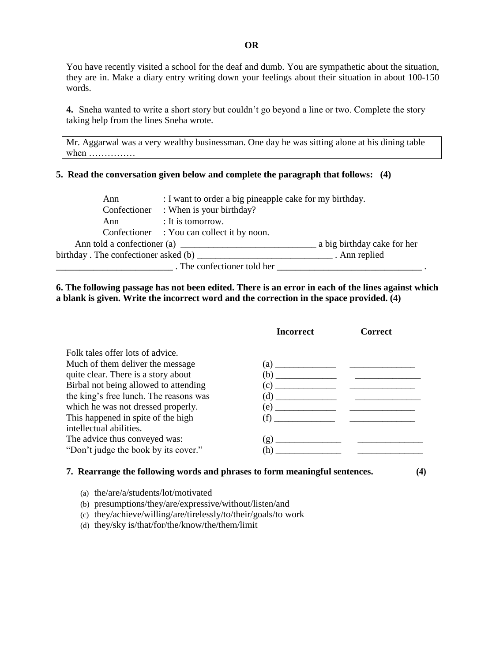You have recently visited a school for the deaf and dumb. You are sympathetic about the situation, they are in. Make a diary entry writing down your feelings about their situation in about 100-150 words.

**4.** Sneha wanted to write a short story but couldn't go beyond a line or two. Complete the story taking help from the lines Sneha wrote.

Mr. Aggarwal was a very wealthy businessman. One day he was sitting alone at his dining table when ……………

#### **5. Read the conversation given below and complete the paragraph that follows: (4)**

| Ann                                  | : I want to order a big pineapple cake for my birthday. |                             |
|--------------------------------------|---------------------------------------------------------|-----------------------------|
|                                      | Confectioner : When is your birthday?                   |                             |
| Ann                                  | : It is tomorrow.                                       |                             |
|                                      | Confectioner : You can collect it by noon.              |                             |
|                                      | Ann told a confectioner (a)                             | a big birthday cake for her |
| birthday. The confectioner asked (b) |                                                         | . Ann replied               |
|                                      | . The confectioner told her                             |                             |

# **6. The following passage has not been edited. There is an error in each of the lines against which a blank is given. Write the incorrect word and the correction in the space provided. (4)**

|                                        | Incorrect                                                      | Correct |
|----------------------------------------|----------------------------------------------------------------|---------|
| Folk tales offer lots of advice.       |                                                                |         |
| Much of them deliver the message.      |                                                                |         |
| quite clear. There is a story about    |                                                                |         |
| Birbal not being allowed to attending  |                                                                |         |
| the king's free lunch. The reasons was |                                                                |         |
| which he was not dressed properly.     |                                                                |         |
| This happened in spite of the high     | (f)                                                            |         |
| intellectual abilities.                |                                                                |         |
| The advice thus conveyed was:          |                                                                |         |
| "Don't judge the book by its cover."   | (h)<br><u> 1980 - Jan Stein Berlin, amerikansk politiker (</u> |         |
|                                        |                                                                |         |

#### **7. Rearrange the following words and phrases to form meaningful sentences. (4)**

- (a) the/are/a/students/lot/motivated
- (b) presumptions/they/are/expressive/without/listen/and
- (c) they/achieve/willing/are/tirelessly/to/their/goals/to work
- (d) they/sky is/that/for/the/know/the/them/limit